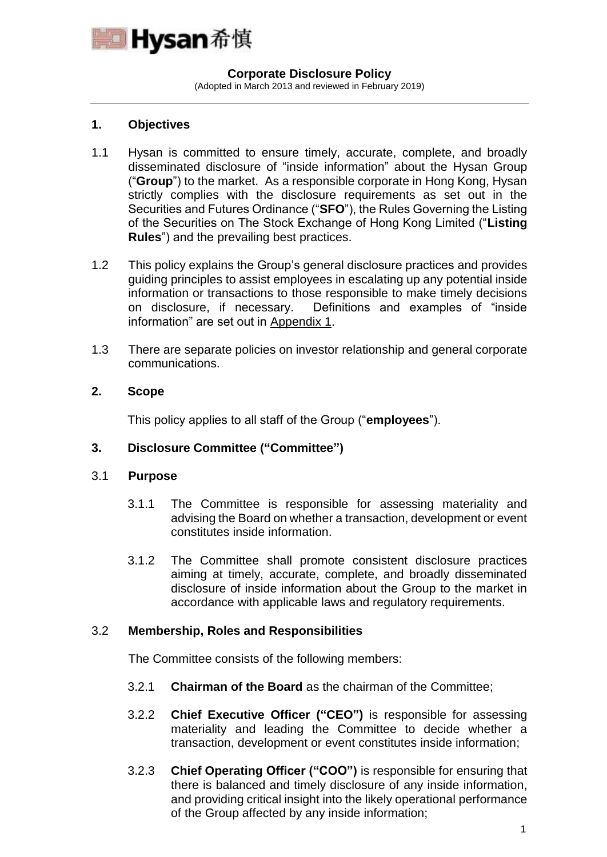

#### **Corporate Disclosure Policy**

(Adopted in March 2013 and reviewed in February 2019)

## **1. Objectives**

- 1.1 Hysan is committed to ensure timely, accurate, complete, and broadly disseminated disclosure of "inside information" about the Hysan Group ("**Group**") to the market. As a responsible corporate in Hong Kong, Hysan strictly complies with the disclosure requirements as set out in the Securities and Futures Ordinance ("**SFO**"), the Rules Governing the Listing of the Securities on The Stock Exchange of Hong Kong Limited ("**Listing Rules**") and the prevailing best practices.
- 1.2 This policy explains the Group's general disclosure practices and provides guiding principles to assist employees in escalating up any potential inside information or transactions to those responsible to make timely decisions on disclosure, if necessary. Definitions and examples of "inside information" are set out in Appendix 1.
- 1.3 There are separate policies on investor relationship and general corporate communications.

## **2. Scope**

This policy applies to all staff of the Group ("**employees**").

### **3. Disclosure Committee ("Committee")**

### 3.1 **Purpose**

- 3.1.1 The Committee is responsible for assessing materiality and advising the Board on whether a transaction, development or event constitutes inside information.
- 3.1.2 The Committee shall promote consistent disclosure practices aiming at timely, accurate, complete, and broadly disseminated disclosure of inside information about the Group to the market in accordance with applicable laws and regulatory requirements.

### 3.2 **Membership, Roles and Responsibilities**

The Committee consists of the following members:

- 3.2.1 **Chairman of the Board** as the chairman of the Committee;
- 3.2.2 **Chief Executive Officer ("CEO")** is responsible for assessing materiality and leading the Committee to decide whether a transaction, development or event constitutes inside information;
- 3.2.3 **Chief Operating Officer ("COO")** is responsible for ensuring that there is balanced and timely disclosure of any inside information, and providing critical insight into the likely operational performance of the Group affected by any inside information;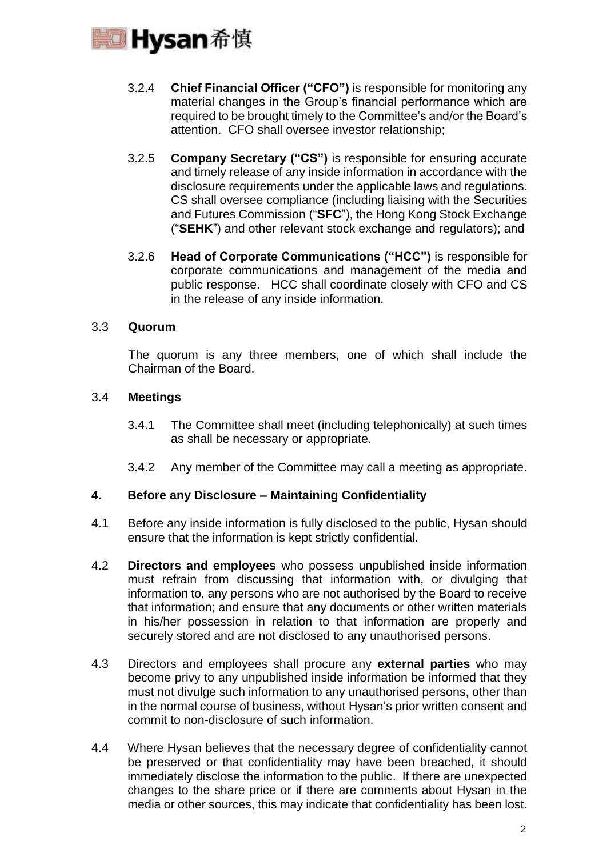

- 3.2.4 **Chief Financial Officer ("CFO")** is responsible for monitoring any material changes in the Group's financial performance which are required to be brought timely to the Committee's and/or the Board's attention. CFO shall oversee investor relationship;
- 3.2.5 **Company Secretary ("CS")** is responsible for ensuring accurate and timely release of any inside information in accordance with the disclosure requirements under the applicable laws and regulations. CS shall oversee compliance (including liaising with the Securities and Futures Commission ("**SFC**"), the Hong Kong Stock Exchange ("**SEHK**") and other relevant stock exchange and regulators); and
- 3.2.6 **Head of Corporate Communications ("HCC")** is responsible for corporate communications and management of the media and public response. HCC shall coordinate closely with CFO and CS in the release of any inside information.

## 3.3 **Quorum**

The quorum is any three members, one of which shall include the Chairman of the Board.

## 3.4 **Meetings**

- 3.4.1 The Committee shall meet (including telephonically) at such times as shall be necessary or appropriate.
- 3.4.2 Any member of the Committee may call a meeting as appropriate.

### **4. Before any Disclosure – Maintaining Confidentiality**

- 4.1 Before any inside information is fully disclosed to the public, Hysan should ensure that the information is kept strictly confidential.
- 4.2 **Directors and employees** who possess unpublished inside information must refrain from discussing that information with, or divulging that information to, any persons who are not authorised by the Board to receive that information; and ensure that any documents or other written materials in his/her possession in relation to that information are properly and securely stored and are not disclosed to any unauthorised persons.
- 4.3 Directors and employees shall procure any **external parties** who may become privy to any unpublished inside information be informed that they must not divulge such information to any unauthorised persons, other than in the normal course of business, without Hysan's prior written consent and commit to non-disclosure of such information.
- 4.4 Where Hysan believes that the necessary degree of confidentiality cannot be preserved or that confidentiality may have been breached, it should immediately disclose the information to the public. If there are unexpected changes to the share price or if there are comments about Hysan in the media or other sources, this may indicate that confidentiality has been lost.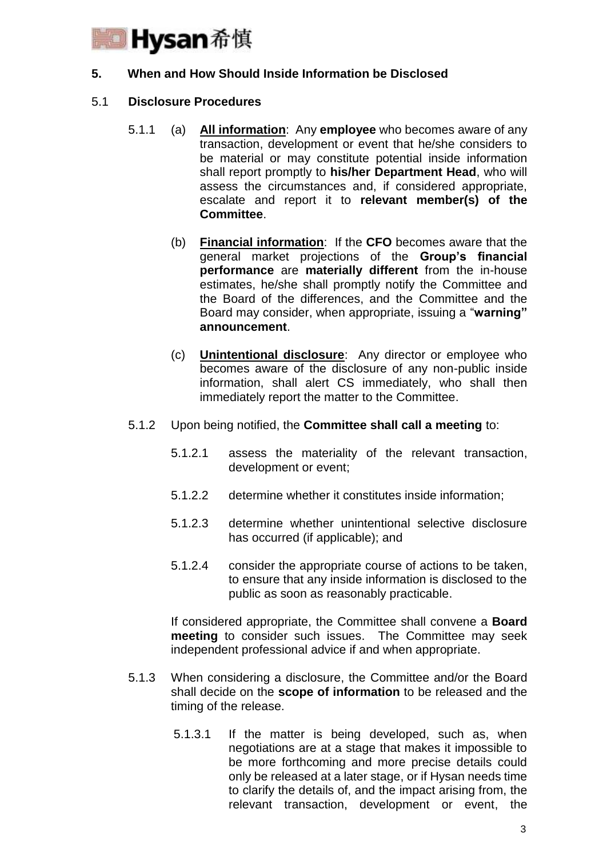

## **5. When and How Should Inside Information be Disclosed**

### 5.1 **Disclosure Procedures**

- 5.1.1 (a) **All information**: Any **employee** who becomes aware of any transaction, development or event that he/she considers to be material or may constitute potential inside information shall report promptly to **his/her Department Head**, who will assess the circumstances and, if considered appropriate, escalate and report it to **relevant member(s) of the Committee**.
	- (b) **Financial information**: If the **CFO** becomes aware that the general market projections of the **Group's financial performance** are **materially different** from the in-house estimates, he/she shall promptly notify the Committee and the Board of the differences, and the Committee and the Board may consider, when appropriate, issuing a "**warning" announcement**.
	- (c) **Unintentional disclosure**: Any director or employee who becomes aware of the disclosure of any non-public inside information, shall alert CS immediately, who shall then immediately report the matter to the Committee.
- 5.1.2 Upon being notified, the **Committee shall call a meeting** to:
	- 5.1.2.1 assess the materiality of the relevant transaction, development or event;
	- 5.1.2.2 determine whether it constitutes inside information;
	- 5.1.2.3 determine whether unintentional selective disclosure has occurred (if applicable); and
	- 5.1.2.4 consider the appropriate course of actions to be taken, to ensure that any inside information is disclosed to the public as soon as reasonably practicable.

If considered appropriate, the Committee shall convene a **Board meeting** to consider such issues. The Committee may seek independent professional advice if and when appropriate.

- 5.1.3 When considering a disclosure, the Committee and/or the Board shall decide on the **scope of information** to be released and the timing of the release.
	- 5.1.3.1 If the matter is being developed, such as, when negotiations are at a stage that makes it impossible to be more forthcoming and more precise details could only be released at a later stage, or if Hysan needs time to clarify the details of, and the impact arising from, the relevant transaction, development or event, the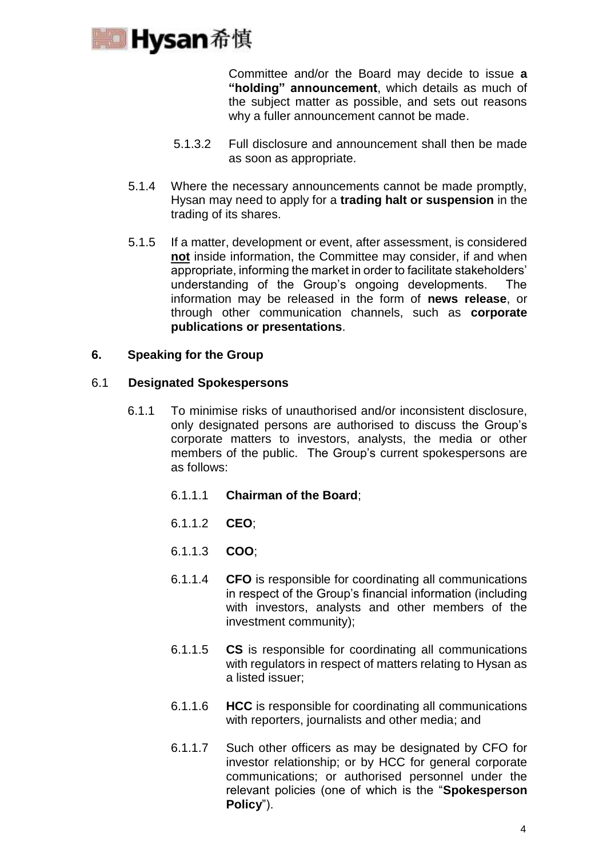

Committee and/or the Board may decide to issue **a "holding" announcement**, which details as much of the subject matter as possible, and sets out reasons why a fuller announcement cannot be made.

- 5.1.3.2 Full disclosure and announcement shall then be made as soon as appropriate.
- 5.1.4 Where the necessary announcements cannot be made promptly, Hysan may need to apply for a **trading halt or suspension** in the trading of its shares.
- 5.1.5 If a matter, development or event, after assessment, is considered **not** inside information, the Committee may consider, if and when appropriate, informing the market in order to facilitate stakeholders' understanding of the Group's ongoing developments. The information may be released in the form of **news release**, or through other communication channels, such as **corporate publications or presentations**.

## **6. Speaking for the Group**

### 6.1 **Designated Spokespersons**

- 6.1.1 To minimise risks of unauthorised and/or inconsistent disclosure, only designated persons are authorised to discuss the Group's corporate matters to investors, analysts, the media or other members of the public. The Group's current spokespersons are as follows:
	- 6.1.1.1 **Chairman of the Board**;
	- 6.1.1.2 **CEO**;
	- 6.1.1.3 **COO**;
	- 6.1.1.4 **CFO** is responsible for coordinating all communications in respect of the Group's financial information (including with investors, analysts and other members of the investment community);
	- 6.1.1.5 **CS** is responsible for coordinating all communications with regulators in respect of matters relating to Hysan as a listed issuer;
	- 6.1.1.6 **HCC** is responsible for coordinating all communications with reporters, journalists and other media; and
	- 6.1.1.7 Such other officers as may be designated by CFO for investor relationship; or by HCC for general corporate communications; or authorised personnel under the relevant policies (one of which is the "**Spokesperson Policy**").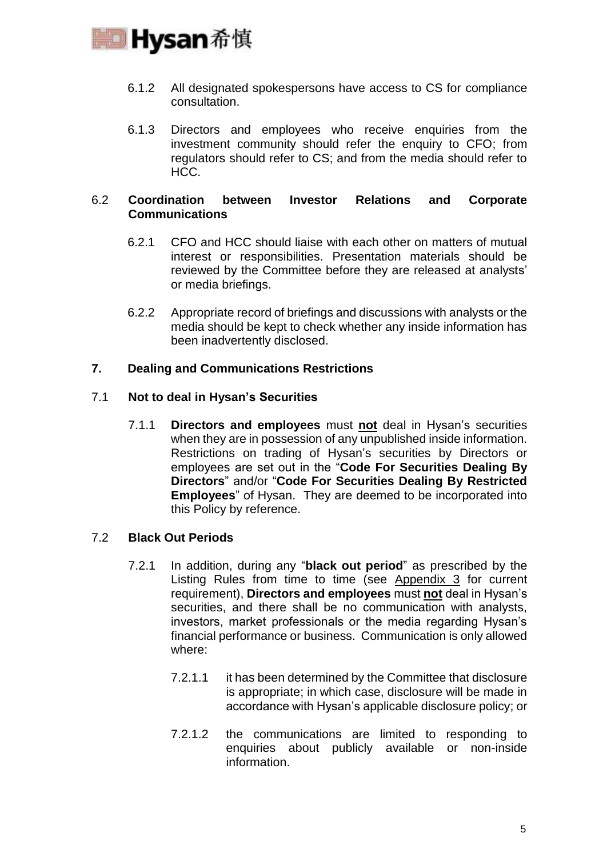

- 6.1.2 All designated spokespersons have access to CS for compliance consultation.
- 6.1.3 Directors and employees who receive enquiries from the investment community should refer the enquiry to CFO; from regulators should refer to CS; and from the media should refer to HCC.

## 6.2 **Coordination between Investor Relations and Corporate Communications**

- 6.2.1 CFO and HCC should liaise with each other on matters of mutual interest or responsibilities. Presentation materials should be reviewed by the Committee before they are released at analysts' or media briefings.
- 6.2.2 Appropriate record of briefings and discussions with analysts or the media should be kept to check whether any inside information has been inadvertently disclosed.

## **7. Dealing and Communications Restrictions**

## 7.1 **Not to deal in Hysan's Securities**

7.1.1 **Directors and employees** must **not** deal in Hysan's securities when they are in possession of any unpublished inside information. Restrictions on trading of Hysan's securities by Directors or employees are set out in the "**Code For Securities Dealing By Directors**" and/or "**Code For Securities Dealing By Restricted Employees**" of Hysan. They are deemed to be incorporated into this Policy by reference.

### 7.2 **Black Out Periods**

- 7.2.1 In addition, during any "**black out period**" as prescribed by the Listing Rules from time to time (see Appendix 3 for current requirement), **Directors and employees** must **not** deal in Hysan's securities, and there shall be no communication with analysts, investors, market professionals or the media regarding Hysan's financial performance or business. Communication is only allowed where:
	- 7.2.1.1 it has been determined by the Committee that disclosure is appropriate; in which case, disclosure will be made in accordance with Hysan's applicable disclosure policy; or
	- 7.2.1.2 the communications are limited to responding to enquiries about publicly available or non-inside information.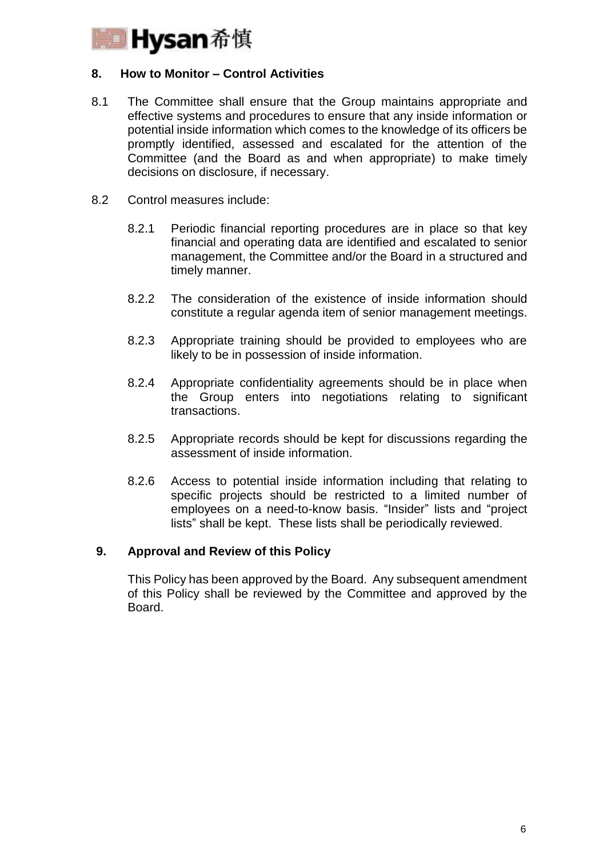

## **8. How to Monitor – Control Activities**

- 8.1 The Committee shall ensure that the Group maintains appropriate and effective systems and procedures to ensure that any inside information or potential inside information which comes to the knowledge of its officers be promptly identified, assessed and escalated for the attention of the Committee (and the Board as and when appropriate) to make timely decisions on disclosure, if necessary.
- 8.2 Control measures include:
	- 8.2.1 Periodic financial reporting procedures are in place so that key financial and operating data are identified and escalated to senior management, the Committee and/or the Board in a structured and timely manner.
	- 8.2.2 The consideration of the existence of inside information should constitute a regular agenda item of senior management meetings.
	- 8.2.3 Appropriate training should be provided to employees who are likely to be in possession of inside information.
	- 8.2.4 Appropriate confidentiality agreements should be in place when the Group enters into negotiations relating to significant transactions.
	- 8.2.5 Appropriate records should be kept for discussions regarding the assessment of inside information.
	- 8.2.6 Access to potential inside information including that relating to specific projects should be restricted to a limited number of employees on a need-to-know basis. "Insider" lists and "project lists" shall be kept. These lists shall be periodically reviewed.

## **9. Approval and Review of this Policy**

This Policy has been approved by the Board. Any subsequent amendment of this Policy shall be reviewed by the Committee and approved by the Board.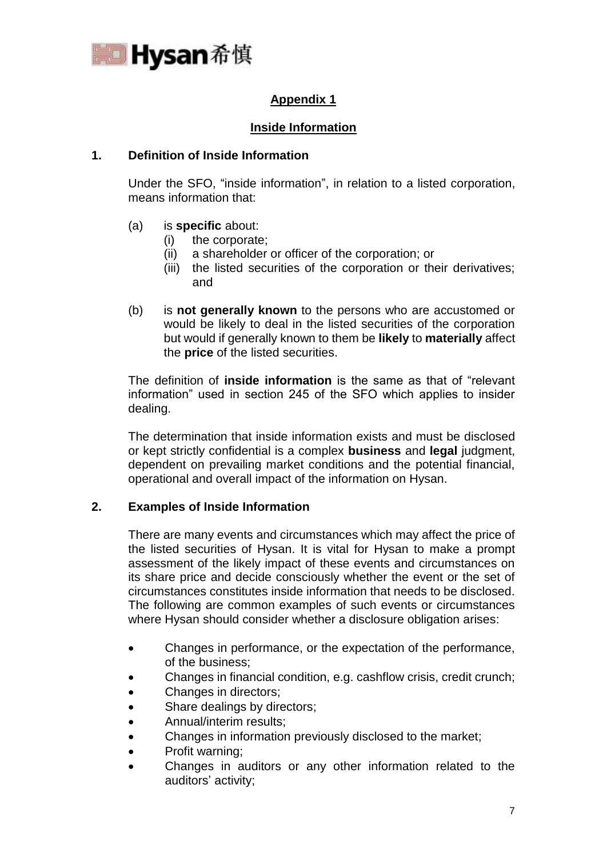

# **Appendix 1**

# **Inside Information**

# **1. Definition of Inside Information**

Under the SFO, "inside information", in relation to a listed corporation, means information that:

- (a) is **specific** about:
	- (i) the corporate;
	- (ii) a shareholder or officer of the corporation; or
	- (iii) the listed securities of the corporation or their derivatives; and
- (b) is **not generally known** to the persons who are accustomed or would be likely to deal in the listed securities of the corporation but would if generally known to them be **likely** to **materially** affect the **price** of the listed securities.

The definition of **inside information** is the same as that of "relevant information" used in section 245 of the SFO which applies to insider dealing.

The determination that inside information exists and must be disclosed or kept strictly confidential is a complex **business** and **legal** judgment, dependent on prevailing market conditions and the potential financial, operational and overall impact of the information on Hysan.

## **2. Examples of Inside Information**

There are many events and circumstances which may affect the price of the listed securities of Hysan. It is vital for Hysan to make a prompt assessment of the likely impact of these events and circumstances on its share price and decide consciously whether the event or the set of circumstances constitutes inside information that needs to be disclosed. The following are common examples of such events or circumstances where Hysan should consider whether a disclosure obligation arises:

- Changes in performance, or the expectation of the performance, of the business;
- Changes in financial condition, e.g. cashflow crisis, credit crunch;
- Changes in directors;
- Share dealings by directors;
- Annual/interim results;
- Changes in information previously disclosed to the market;
- Profit warning;
- Changes in auditors or any other information related to the auditors' activity;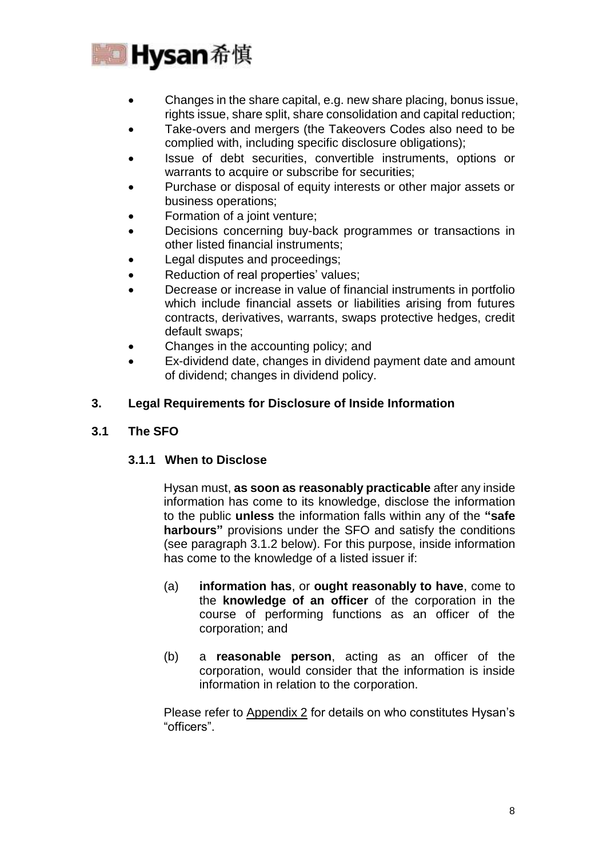

- Changes in the share capital, e.g. new share placing, bonus issue, rights issue, share split, share consolidation and capital reduction;
- Take-overs and mergers (the Takeovers Codes also need to be complied with, including specific disclosure obligations);
- Issue of debt securities, convertible instruments, options or warrants to acquire or subscribe for securities;
- Purchase or disposal of equity interests or other major assets or business operations;
- Formation of a joint venture;
- Decisions concerning buy-back programmes or transactions in other listed financial instruments;
- Legal disputes and proceedings;
- Reduction of real properties' values;
- Decrease or increase in value of financial instruments in portfolio which include financial assets or liabilities arising from futures contracts, derivatives, warrants, swaps protective hedges, credit default swaps;
- Changes in the accounting policy; and
- Ex-dividend date, changes in dividend payment date and amount of dividend; changes in dividend policy.

# **3. Legal Requirements for Disclosure of Inside Information**

# **3.1 The SFO**

## **3.1.1 When to Disclose**

Hysan must, **as soon as reasonably practicable** after any inside information has come to its knowledge, disclose the information to the public **unless** the information falls within any of the **"safe harbours"** provisions under the SFO and satisfy the conditions (see paragraph 3.1.2 below). For this purpose, inside information has come to the knowledge of a listed issuer if:

- (a) **information has**, or **ought reasonably to have**, come to the **knowledge of an officer** of the corporation in the course of performing functions as an officer of the corporation; and
- (b) a **reasonable person**, acting as an officer of the corporation, would consider that the information is inside information in relation to the corporation.

Please refer to Appendix 2 for details on who constitutes Hysan's "officers".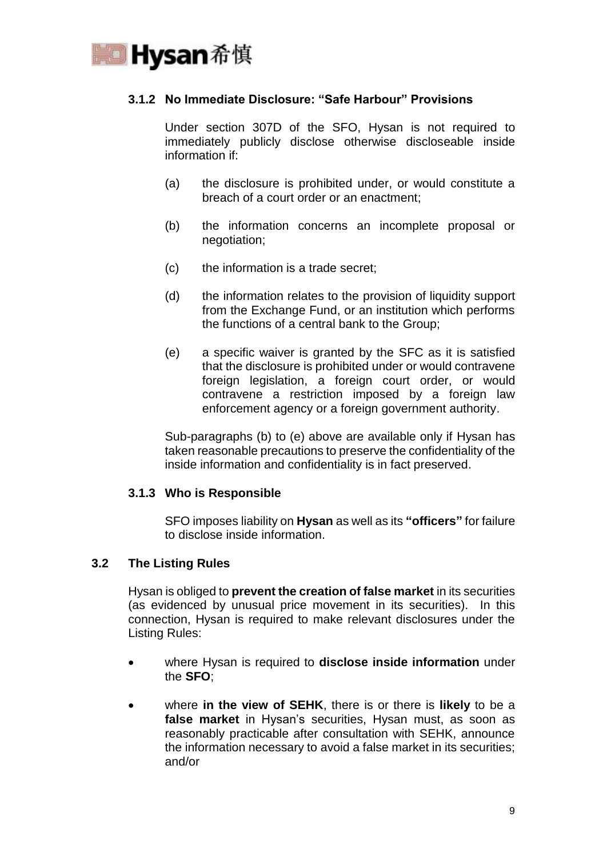

# **3.1.2 No Immediate Disclosure: "Safe Harbour" Provisions**

Under section 307D of the SFO, Hysan is not required to immediately publicly disclose otherwise discloseable inside information if:

- (a) the disclosure is prohibited under, or would constitute a breach of a court order or an enactment;
- (b) the information concerns an incomplete proposal or negotiation;
- (c) the information is a trade secret;
- (d) the information relates to the provision of liquidity support from the Exchange Fund, or an institution which performs the functions of a central bank to the Group;
- (e) a specific waiver is granted by the SFC as it is satisfied that the disclosure is prohibited under or would contravene foreign legislation, a foreign court order, or would contravene a restriction imposed by a foreign law enforcement agency or a foreign government authority.

Sub-paragraphs (b) to (e) above are available only if Hysan has taken reasonable precautions to preserve the confidentiality of the inside information and confidentiality is in fact preserved.

## **3.1.3 Who is Responsible**

SFO imposes liability on **Hysan** as well as its **"officers"** for failure to disclose inside information.

### **3.2 The Listing Rules**

Hysan is obliged to **prevent the creation of false market** in its securities (as evidenced by unusual price movement in its securities). In this connection, Hysan is required to make relevant disclosures under the Listing Rules:

- where Hysan is required to **disclose inside information** under the **SFO**;
- where **in the view of SEHK**, there is or there is **likely** to be a **false market** in Hysan's securities, Hysan must, as soon as reasonably practicable after consultation with SEHK, announce the information necessary to avoid a false market in its securities; and/or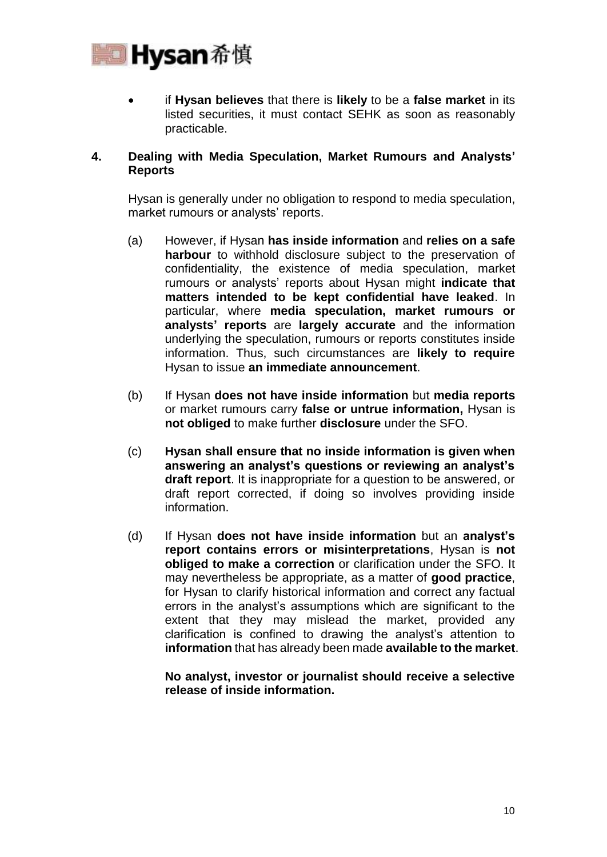

 if **Hysan believes** that there is **likely** to be a **false market** in its listed securities, it must contact SEHK as soon as reasonably practicable.

## **4. Dealing with Media Speculation, Market Rumours and Analysts' Reports**

Hysan is generally under no obligation to respond to media speculation, market rumours or analysts' reports.

- (a) However, if Hysan **has inside information** and **relies on a safe harbour** to withhold disclosure subject to the preservation of confidentiality, the existence of media speculation, market rumours or analysts' reports about Hysan might **indicate that matters intended to be kept confidential have leaked**. In particular, where **media speculation, market rumours or analysts' reports** are **largely accurate** and the information underlying the speculation, rumours or reports constitutes inside information. Thus, such circumstances are **likely to require**  Hysan to issue **an immediate announcement**.
- (b) If Hysan **does not have inside information** but **media reports**  or market rumours carry **false or untrue information,** Hysan is **not obliged** to make further **disclosure** under the SFO.
- (c) **Hysan shall ensure that no inside information is given when answering an analyst's questions or reviewing an analyst's draft report**. It is inappropriate for a question to be answered, or draft report corrected, if doing so involves providing inside information.
- (d) If Hysan **does not have inside information** but an **analyst's report contains errors or misinterpretations**, Hysan is **not obliged to make a correction** or clarification under the SFO. It may nevertheless be appropriate, as a matter of **good practice**, for Hysan to clarify historical information and correct any factual errors in the analyst's assumptions which are significant to the extent that they may mislead the market, provided any clarification is confined to drawing the analyst's attention to **information** that has already been made **available to the market**.

**No analyst, investor or journalist should receive a selective release of inside information.**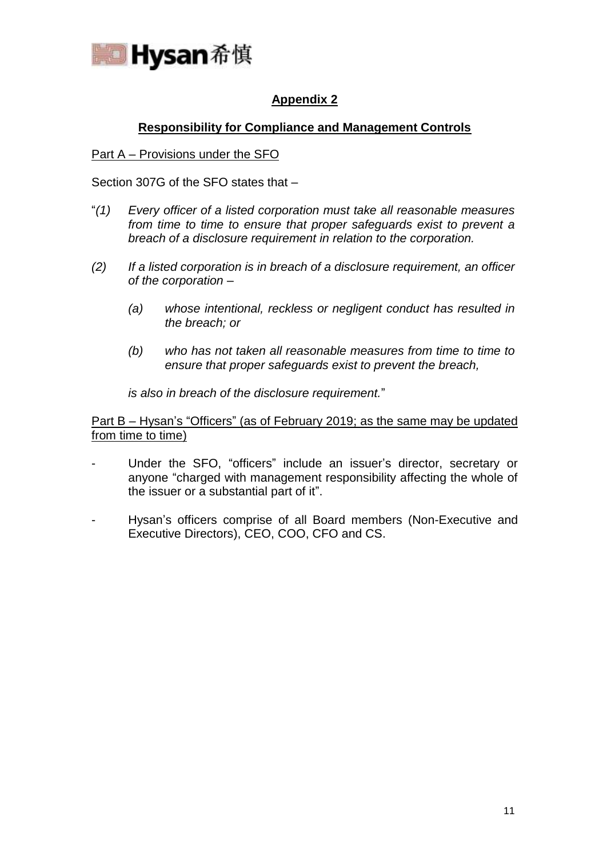

# **Appendix 2**

# **Responsibility for Compliance and Management Controls**

## Part A – Provisions under the SFO

Section 307G of the SFO states that –

- "*(1) Every officer of a listed corporation must take all reasonable measures from time to time to ensure that proper safeguards exist to prevent a breach of a disclosure requirement in relation to the corporation.*
- *(2) If a listed corporation is in breach of a disclosure requirement, an officer of the corporation –*
	- *(a) whose intentional, reckless or negligent conduct has resulted in the breach; or*
	- *(b) who has not taken all reasonable measures from time to time to ensure that proper safeguards exist to prevent the breach,*

*is also in breach of the disclosure requirement.*"

Part B – Hysan's "Officers" (as of February 2019; as the same may be updated from time to time)

- Under the SFO, "officers" include an issuer's director, secretary or anyone "charged with management responsibility affecting the whole of the issuer or a substantial part of it".
- Hysan's officers comprise of all Board members (Non-Executive and Executive Directors), CEO, COO, CFO and CS.